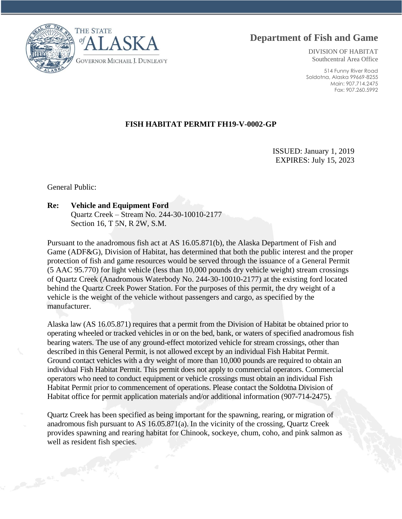



DIVISION OF HABITAT Southcentral Area Office

514 Funny River Road Soldotna, Alaska 99669-8255 Main: 907.714.2475 Fax: 907.260.5992

## **FISH HABITAT PERMIT FH19-V-0002-GP**

ISSUED: January 1, 2019 EXPIRES: July 15, 2023

General Public:

## **Re: Vehicle and Equipment Ford**

Quartz Creek – Stream No. 244-30-10010-2177 Section 16, T 5N, R 2W, S.M.

Pursuant to the anadromous fish act at AS 16.05.871(b), the Alaska Department of Fish and Game (ADF&G), Division of Habitat, has determined that both the public interest and the proper protection of fish and game resources would be served through the issuance of a General Permit (5 AAC 95.770) for light vehicle (less than 10,000 pounds dry vehicle weight) stream crossings of Quartz Creek (Anadromous Waterbody No. 244-30-10010-2177) at the existing ford located behind the Quartz Creek Power Station. For the purposes of this permit, the dry weight of a vehicle is the weight of the vehicle without passengers and cargo, as specified by the manufacturer.

Alaska law (AS 16.05.871) requires that a permit from the Division of Habitat be obtained prior to operating wheeled or tracked vehicles in or on the bed, bank, or waters of specified anadromous fish bearing waters. The use of any ground-effect motorized vehicle for stream crossings, other than described in this General Permit, is not allowed except by an individual Fish Habitat Permit. Ground contact vehicles with a dry weight of more than 10,000 pounds are required to obtain an individual Fish Habitat Permit. This permit does not apply to commercial operators. Commercial operators who need to conduct equipment or vehicle crossings must obtain an individual Fish Habitat Permit prior to commencement of operations. Please contact the Soldotna Division of Habitat office for permit application materials and/or additional information (907-714-2475).

Quartz Creek has been specified as being important for the spawning, rearing, or migration of anadromous fish pursuant to AS 16.05.871(a). In the vicinity of the crossing, Quartz Creek provides spawning and rearing habitat for Chinook, sockeye, chum, coho, and pink salmon as well as resident fish species.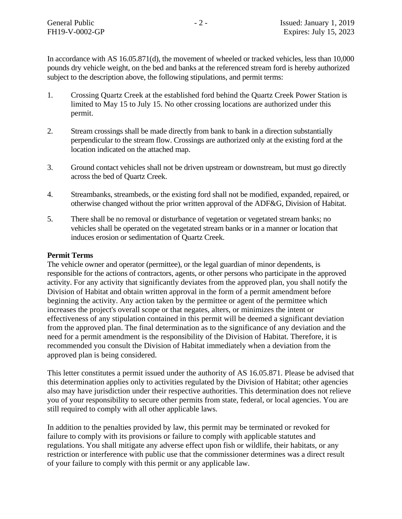In accordance with AS 16.05.871(d), the movement of wheeled or tracked vehicles, less than 10,000 pounds dry vehicle weight, on the bed and banks at the referenced stream ford is hereby authorized subject to the description above, the following stipulations, and permit terms:

- 1. Crossing Quartz Creek at the established ford behind the Quartz Creek Power Station is limited to May 15 to July 15. No other crossing locations are authorized under this permit.
- 2. Stream crossings shall be made directly from bank to bank in a direction substantially perpendicular to the stream flow. Crossings are authorized only at the existing ford at the location indicated on the attached map.
- 3. Ground contact vehicles shall not be driven upstream or downstream, but must go directly across the bed of Quartz Creek.
- 4. Streambanks, streambeds, or the existing ford shall not be modified, expanded, repaired, or otherwise changed without the prior written approval of the ADF&G, Division of Habitat.
- 5. There shall be no removal or disturbance of vegetation or vegetated stream banks; no vehicles shall be operated on the vegetated stream banks or in a manner or location that induces erosion or sedimentation of Quartz Creek.

## **Permit Terms**

The vehicle owner and operator (permittee), or the legal guardian of minor dependents, is responsible for the actions of contractors, agents, or other persons who participate in the approved activity. For any activity that significantly deviates from the approved plan, you shall notify the Division of Habitat and obtain written approval in the form of a permit amendment before beginning the activity. Any action taken by the permittee or agent of the permittee which increases the project's overall scope or that negates, alters, or minimizes the intent or effectiveness of any stipulation contained in this permit will be deemed a significant deviation from the approved plan. The final determination as to the significance of any deviation and the need for a permit amendment is the responsibility of the Division of Habitat. Therefore, it is recommended you consult the Division of Habitat immediately when a deviation from the approved plan is being considered.

This letter constitutes a permit issued under the authority of AS 16.05.871. Please be advised that this determination applies only to activities regulated by the Division of Habitat; other agencies also may have jurisdiction under their respective authorities. This determination does not relieve you of your responsibility to secure other permits from state, federal, or local agencies. You are still required to comply with all other applicable laws.

In addition to the penalties provided by law, this permit may be terminated or revoked for failure to comply with its provisions or failure to comply with applicable statutes and regulations. You shall mitigate any adverse effect upon fish or wildlife, their habitats, or any restriction or interference with public use that the commissioner determines was a direct result of your failure to comply with this permit or any applicable law.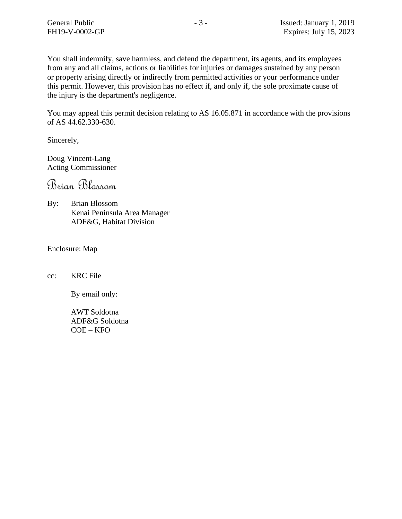You shall indemnify, save harmless, and defend the department, its agents, and its employees from any and all claims, actions or liabilities for injuries or damages sustained by any person or property arising directly or indirectly from permitted activities or your performance under this permit. However, this provision has no effect if, and only if, the sole proximate cause of the injury is the department's negligence.

You may appeal this permit decision relating to AS 16.05.871 in accordance with the provisions of AS 44.62.330-630.

Sincerely,

Doug Vincent-Lang Acting Commissioner

Brian Blossom

By: Brian Blossom Kenai Peninsula Area Manager ADF&G, Habitat Division

Enclosure: Map

cc: KRC File

By email only:

AWT Soldotna ADF&G Soldotna COE – KFO